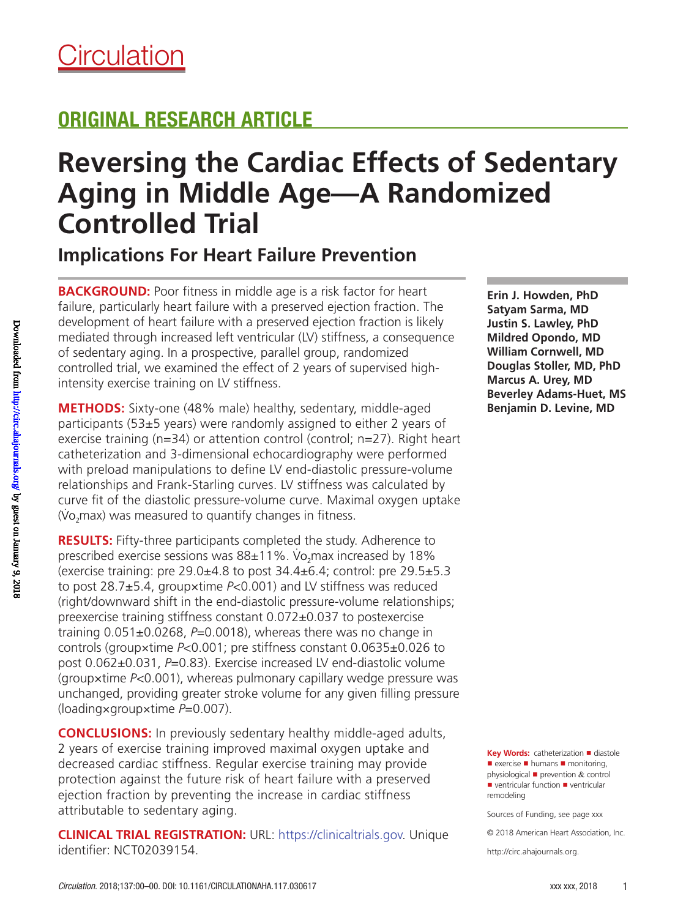# ORIGINAL RESEARCH ARTICLE

# **Reversing the Cardiac Effects of Sedentary Aging in Middle Age—A Randomized Controlled Trial**

**Implications For Heart Failure Prevention**

**BACKGROUND:** Poor fitness in middle age is a risk factor for heart failure, particularly heart failure with a preserved ejection fraction. The development of heart failure with a preserved ejection fraction is likely mediated through increased left ventricular (LV) stiffness, a consequence of sedentary aging. In a prospective, parallel group, randomized controlled trial, we examined the effect of 2 years of supervised highintensity exercise training on LV stiffness.

**METHODS:** Sixty-one (48% male) healthy, sedentary, middle-aged participants (53±5 years) were randomly assigned to either 2 years of exercise training (n=34) or attention control (control; n=27). Right heart catheterization and 3-dimensional echocardiography were performed with preload manipulations to define LV end-diastolic pressure-volume relationships and Frank-Starling curves. LV stiffness was calculated by curve fit of the diastolic pressure-volume curve. Maximal oxygen uptake . (Vo 2max) was measured to quantify changes in fitness.

**RESULTS:** Fifty-three participants completed the study. Adherence to prescribed exercise sessions was 88±11%. Vo 2max increased by 18% (exercise training: pre  $29.0\pm4.8$  to post  $34.4\pm6.4$ ; control: pre  $29.5\pm5.3$ to post 28.7±5.4, group×time *P*<0.001) and LV stiffness was reduced (right/downward shift in the end-diastolic pressure-volume relationships; preexercise training stiffness constant 0.072±0.037 to postexercise training 0.051±0.0268, *P*=0.0018), whereas there was no change in controls (group×time *P*<0.001; pre stiffness constant 0.0635±0.026 to post 0.062±0.031, *P*=0.83). Exercise increased LV end-diastolic volume (group×time *P*<0.001), whereas pulmonary capillary wedge pressure was unchanged, providing greater stroke volume for any given filling pressure (loading×group×time *P*=0.007).

**CONCLUSIONS:** In previously sedentary healthy middle-aged adults, 2 years of exercise training improved maximal oxygen uptake and decreased cardiac stiffness. Regular exercise training may provide protection against the future risk of heart failure with a preserved ejection fraction by preventing the increase in cardiac stiffness attributable to sedentary aging.

**CLINICAL TRIAL REGISTRATION:** URL: https://clinicaltrials.gov. Unique identifier: NCT02039154.

**Erin J. Howden, PhD Satyam Sarma, MD Justin S. Lawley, PhD Mildred Opondo, MD William Cornwell, MD Douglas Stoller, MD, PhD Marcus A. Urey, MD Beverley Adams-Huet, MS Benjamin D. Levine, MD**

**Key Words:** catheterization ■ diastole ■ exercise ■ humans ■ monitoring, physiological  $\blacksquare$  prevention & control ■ ventricular function ■ ventricular remodeling

Sources of Funding, see page xxx

© 2018 American Heart Association, Inc.

http://circ.ahajournals.org.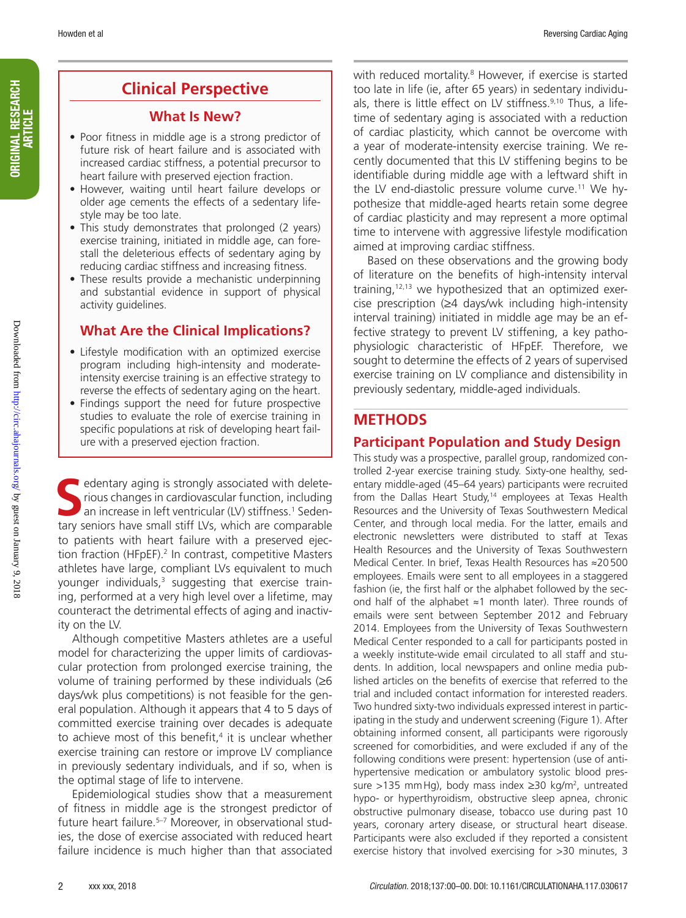## **Clinical Perspective**

### **What Is New?**

- Poor fitness in middle age is a strong predictor of future risk of heart failure and is associated with increased cardiac stiffness, a potential precursor to heart failure with preserved ejection fraction.
- However, waiting until heart failure develops or older age cements the effects of a sedentary lifestyle may be too late.
- This study demonstrates that prolonged (2 years) exercise training, initiated in middle age, can forestall the deleterious effects of sedentary aging by reducing cardiac stiffness and increasing fitness.
- These results provide a mechanistic underpinning and substantial evidence in support of physical activity guidelines.

### **What Are the Clinical Implications?**

- Lifestyle modification with an optimized exercise program including high-intensity and moderateintensity exercise training is an effective strategy to reverse the effects of sedentary aging on the heart.
- Findings support the need for future prospective studies to evaluate the role of exercise training in specific populations at risk of developing heart failure with a preserved ejection fraction.

**S** edentary aging is strongly associated with deleterious changes in cardiovascular function, including an increase in left ventricular (LV) stiffness.<sup>1</sup> Sedentary seniors have small stiff LVs, which are comparable to patients with heart failure with a preserved ejection fraction (HFpEF).<sup>2</sup> In contrast, competitive Masters athletes have large, compliant LVs equivalent to much younger individuals,<sup>3</sup> suggesting that exercise training, performed at a very high level over a lifetime, may counteract the detrimental effects of aging and inactivity on the LV.

Although competitive Masters athletes are a useful model for characterizing the upper limits of cardiovascular protection from prolonged exercise training, the volume of training performed by these individuals  $(≥6)$ days/wk plus competitions) is not feasible for the general population. Although it appears that 4 to 5 days of committed exercise training over decades is adequate to achieve most of this benefit,<sup>4</sup> it is unclear whether exercise training can restore or improve LV compliance in previously sedentary individuals, and if so, when is the optimal stage of life to intervene.

Epidemiological studies show that a measurement of fitness in middle age is the strongest predictor of future heart failure.5–7 Moreover, in observational studies, the dose of exercise associated with reduced heart failure incidence is much higher than that associated

with reduced mortality.<sup>8</sup> However, if exercise is started too late in life (ie, after 65 years) in sedentary individuals, there is little effect on LV stiffness.<sup>9,10</sup> Thus, a lifetime of sedentary aging is associated with a reduction of cardiac plasticity, which cannot be overcome with a year of moderate-intensity exercise training. We recently documented that this LV stiffening begins to be identifiable during middle age with a leftward shift in the LV end-diastolic pressure volume curve.<sup>11</sup> We hypothesize that middle-aged hearts retain some degree of cardiac plasticity and may represent a more optimal time to intervene with aggressive lifestyle modification aimed at improving cardiac stiffness.

Based on these observations and the growing body of literature on the benefits of high-intensity interval training,12,13 we hypothesized that an optimized exercise prescription (≥4 days/wk including high-intensity interval training) initiated in middle age may be an effective strategy to prevent LV stiffening, a key pathophysiologic characteristic of HFpEF. Therefore, we sought to determine the effects of 2 years of supervised exercise training on LV compliance and distensibility in previously sedentary, middle-aged individuals.

### **METHODS**

### **Participant Population and Study Design**

This study was a prospective, parallel group, randomized controlled 2-year exercise training study. Sixty-one healthy, sedentary middle-aged (45–64 years) participants were recruited from the Dallas Heart Study,<sup>14</sup> employees at Texas Health Resources and the University of Texas Southwestern Medical Center, and through local media. For the latter, emails and electronic newsletters were distributed to staff at Texas Health Resources and the University of Texas Southwestern Medical Center. In brief, Texas Health Resources has ≈20500 employees. Emails were sent to all employees in a staggered fashion (ie, the first half or the alphabet followed by the second half of the alphabet ≈1 month later). Three rounds of emails were sent between September 2012 and February 2014. Employees from the University of Texas Southwestern Medical Center responded to a call for participants posted in a weekly institute-wide email circulated to all staff and students. In addition, local newspapers and online media published articles on the benefits of exercise that referred to the trial and included contact information for interested readers. Two hundred sixty-two individuals expressed interest in participating in the study and underwent screening (Figure 1). After obtaining informed consent, all participants were rigorously screened for comorbidities, and were excluded if any of the following conditions were present: hypertension (use of antihypertensive medication or ambulatory systolic blood pressure >135 mmHg), body mass index  $\geq$ 30 kg/m<sup>2</sup>, untreated hypo- or hyperthyroidism, obstructive sleep apnea, chronic obstructive pulmonary disease, tobacco use during past 10 years, coronary artery disease, or structural heart disease. Participants were also excluded if they reported a consistent exercise history that involved exercising for >30 minutes, 3

ORIGINAL RESEARCH ORIGINAL RESEARCH<br>Article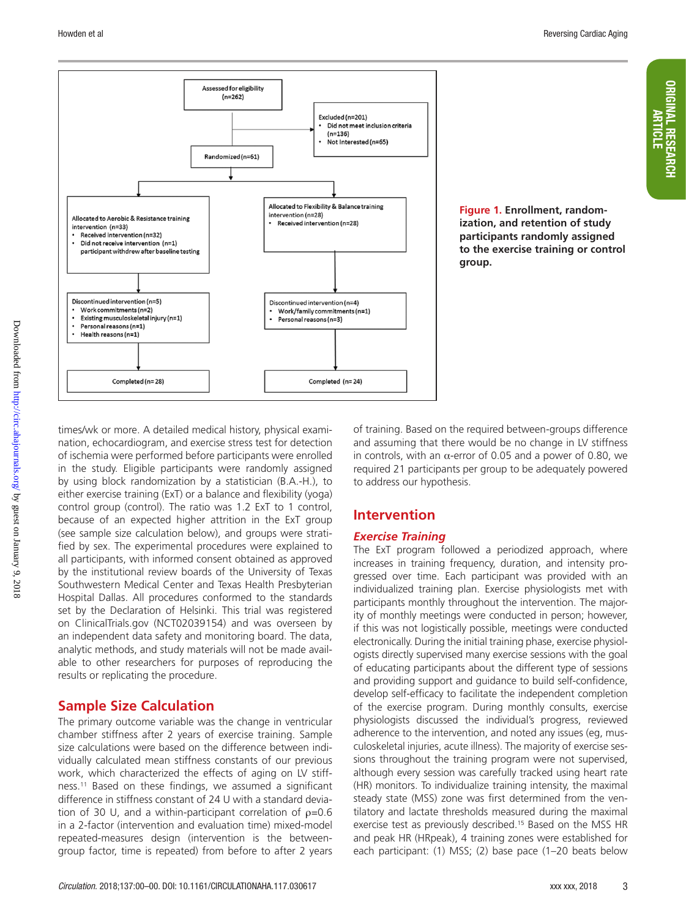ORIGINAL RESEARCH ARTICLE



**Figure 1. Enrollment, randomization, and retention of study participants randomly assigned to the exercise training or control group.**

times/wk or more. A detailed medical history, physical examination, echocardiogram, and exercise stress test for detection of ischemia were performed before participants were enrolled in the study. Eligible participants were randomly assigned by using block randomization by a statistician (B.A.-H.), to either exercise training (ExT) or a balance and flexibility (yoga) control group (control). The ratio was 1.2 ExT to 1 control, because of an expected higher attrition in the ExT group (see sample size calculation below), and groups were stratified by sex. The experimental procedures were explained to all participants, with informed consent obtained as approved by the institutional review boards of the University of Texas Southwestern Medical Center and Texas Health Presbyterian Hospital Dallas. All procedures conformed to the standards set by the Declaration of Helsinki. This trial was registered on ClinicalTrials.gov (NCT02039154) and was overseen by an independent data safety and monitoring board. The data, analytic methods, and study materials will not be made available to other researchers for purposes of reproducing the results or replicating the procedure.

### **Sample Size Calculation**

The primary outcome variable was the change in ventricular chamber stiffness after 2 years of exercise training. Sample size calculations were based on the difference between individually calculated mean stiffness constants of our previous work, which characterized the effects of aging on LV stiffness.11 Based on these findings, we assumed a significant difference in stiffness constant of 24 U with a standard deviation of 30 U, and a within-participant correlation of  $p=0.6$ in a 2-factor (intervention and evaluation time) mixed-model repeated-measures design (intervention is the betweengroup factor, time is repeated) from before to after 2 years

of training. Based on the required between-groups difference and assuming that there would be no change in LV stiffness in controls, with an α-error of 0.05 and a power of 0.80, we required 21 participants per group to be adequately powered to address our hypothesis.

### **Intervention**

### *Exercise Training*

The ExT program followed a periodized approach, where increases in training frequency, duration, and intensity progressed over time. Each participant was provided with an individualized training plan. Exercise physiologists met with participants monthly throughout the intervention. The majority of monthly meetings were conducted in person; however, if this was not logistically possible, meetings were conducted electronically. During the initial training phase, exercise physiologists directly supervised many exercise sessions with the goal of educating participants about the different type of sessions and providing support and guidance to build self-confidence, develop self-efficacy to facilitate the independent completion of the exercise program. During monthly consults, exercise physiologists discussed the individual's progress, reviewed adherence to the intervention, and noted any issues (eg, musculoskeletal injuries, acute illness). The majority of exercise sessions throughout the training program were not supervised, although every session was carefully tracked using heart rate (HR) monitors. To individualize training intensity, the maximal steady state (MSS) zone was first determined from the ventilatory and lactate thresholds measured during the maximal exercise test as previously described.<sup>15</sup> Based on the MSS HR and peak HR (HRpeak), 4 training zones were established for each participant: (1) MSS; (2) base pace (1–20 beats below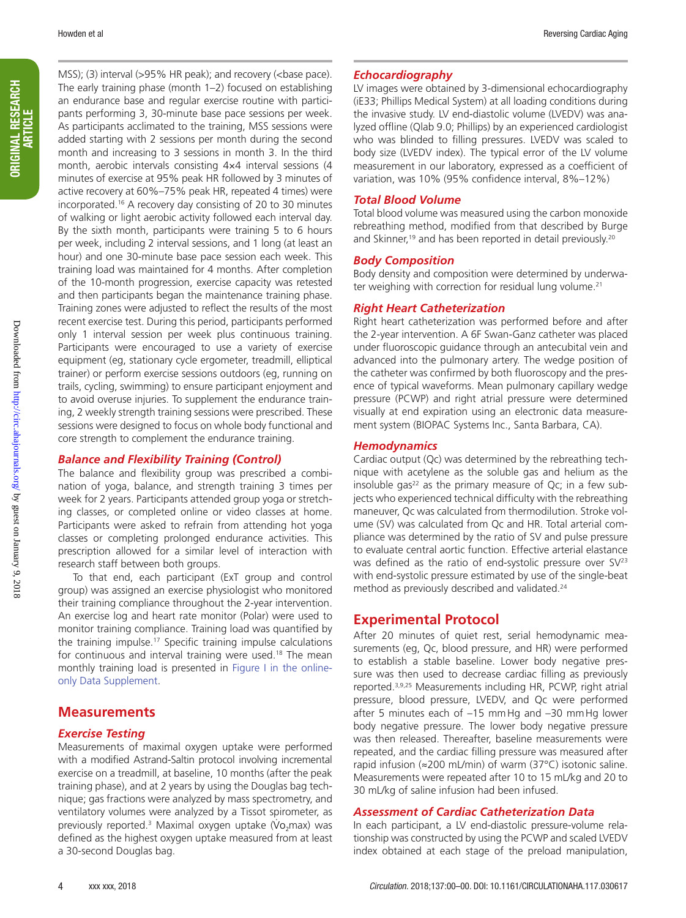MSS); (3) interval (>95% HR peak); and recovery (<br/>base pace). The early training phase (month 1–2) focused on establishing an endurance base and regular exercise routine with participants performing 3, 30-minute base pace sessions per week. As participants acclimated to the training, MSS sessions were added starting with 2 sessions per month during the second month and increasing to 3 sessions in month 3. In the third month, aerobic intervals consisting 4×4 interval sessions (4 minutes of exercise at 95% peak HR followed by 3 minutes of active recovery at 60%–75% peak HR, repeated 4 times) were incorporated.16 A recovery day consisting of 20 to 30 minutes of walking or light aerobic activity followed each interval day. By the sixth month, participants were training 5 to 6 hours per week, including 2 interval sessions, and 1 long (at least an hour) and one 30-minute base pace session each week. This training load was maintained for 4 months. After completion of the 10-month progression, exercise capacity was retested and then participants began the maintenance training phase. Training zones were adjusted to reflect the results of the most recent exercise test. During this period, participants performed only 1 interval session per week plus continuous training. Participants were encouraged to use a variety of exercise equipment (eg, stationary cycle ergometer, treadmill, elliptical trainer) or perform exercise sessions outdoors (eg, running on trails, cycling, swimming) to ensure participant enjoyment and to avoid overuse injuries. To supplement the endurance training, 2 weekly strength training sessions were prescribed. These sessions were designed to focus on whole body functional and core strength to complement the endurance training.

#### *Balance and Flexibility Training (Control)*

The balance and flexibility group was prescribed a combination of yoga, balance, and strength training 3 times per week for 2 years. Participants attended group yoga or stretching classes, or completed online or video classes at home. Participants were asked to refrain from attending hot yoga classes or completing prolonged endurance activities. This prescription allowed for a similar level of interaction with research staff between both groups.

To that end, each participant (ExT group and control group) was assigned an exercise physiologist who monitored their training compliance throughout the 2-year intervention. An exercise log and heart rate monitor (Polar) were used to monitor training compliance. Training load was quantified by the training impulse.17 Specific training impulse calculations for continuous and interval training were used.<sup>18</sup> The mean monthly training load is presented in Figure I in the onlineonly Data Supplement.

#### **Measurements**

#### *Exercise Testing*

Measurements of maximal oxygen uptake were performed with a modified Astrand-Saltin protocol involving incremental exercise on a treadmill, at baseline, 10 months (after the peak training phase), and at 2 years by using the Douglas bag technique; gas fractions were analyzed by mass spectrometry, and ventilatory volumes were analyzed by a Tissot spirometer, as . previously reported.<sup>3</sup> Maximal oxygen uptake (Vo<sub>2</sub>max) was defined as the highest oxygen uptake measured from at least a 30-second Douglas bag.

#### *Echocardiography*

LV images were obtained by 3-dimensional echocardiography (iE33; Phillips Medical System) at all loading conditions during the invasive study. LV end-diastolic volume (LVEDV) was analyzed offline (Qlab 9.0; Phillips) by an experienced cardiologist who was blinded to filling pressures. LVEDV was scaled to body size (LVEDV index). The typical error of the LV volume measurement in our laboratory, expressed as a coefficient of variation, was 10% (95% confidence interval, 8%–12%)

#### *Total Blood Volume*

Total blood volume was measured using the carbon monoxide rebreathing method, modified from that described by Burge and Skinner,<sup>19</sup> and has been reported in detail previously.<sup>20</sup>

#### *Body Composition*

Body density and composition were determined by underwater weighing with correction for residual lung volume.<sup>21</sup>

#### *Right Heart Catheterization*

Right heart catheterization was performed before and after the 2-year intervention. A 6F Swan-Ganz catheter was placed under fluoroscopic guidance through an antecubital vein and advanced into the pulmonary artery. The wedge position of the catheter was confirmed by both fluoroscopy and the presence of typical waveforms. Mean pulmonary capillary wedge pressure (PCWP) and right atrial pressure were determined visually at end expiration using an electronic data measurement system (BIOPAC Systems Inc., Santa Barbara, CA).

#### *Hemodynamics*

Cardiac output (Qc) was determined by the rebreathing technique with acetylene as the soluble gas and helium as the insoluble gas $22$  as the primary measure of Qc; in a few subjects who experienced technical difficulty with the rebreathing maneuver, Qc was calculated from thermodilution. Stroke volume (SV) was calculated from Qc and HR. Total arterial compliance was determined by the ratio of SV and pulse pressure to evaluate central aortic function. Effective arterial elastance was defined as the ratio of end-systolic pressure over  $SV^{23}$ with end-systolic pressure estimated by use of the single-beat method as previously described and validated.<sup>24</sup>

#### **Experimental Protocol**

After 20 minutes of quiet rest, serial hemodynamic measurements (eg, Qc, blood pressure, and HR) were performed to establish a stable baseline. Lower body negative pressure was then used to decrease cardiac filling as previously reported.3,9,25 Measurements including HR, PCWP, right atrial pressure, blood pressure, LVEDV, and Qc were performed after 5 minutes each of –15 mmHg and –30 mmHg lower body negative pressure. The lower body negative pressure was then released. Thereafter, baseline measurements were repeated, and the cardiac filling pressure was measured after rapid infusion (≈200 mL/min) of warm (37°C) isotonic saline. Measurements were repeated after 10 to 15 mL/kg and 20 to 30 mL/kg of saline infusion had been infused.

#### *Assessment of Cardiac Catheterization Data*

In each participant, a LV end-diastolic pressure-volume relationship was constructed by using the PCWP and scaled LVEDV index obtained at each stage of the preload manipulation,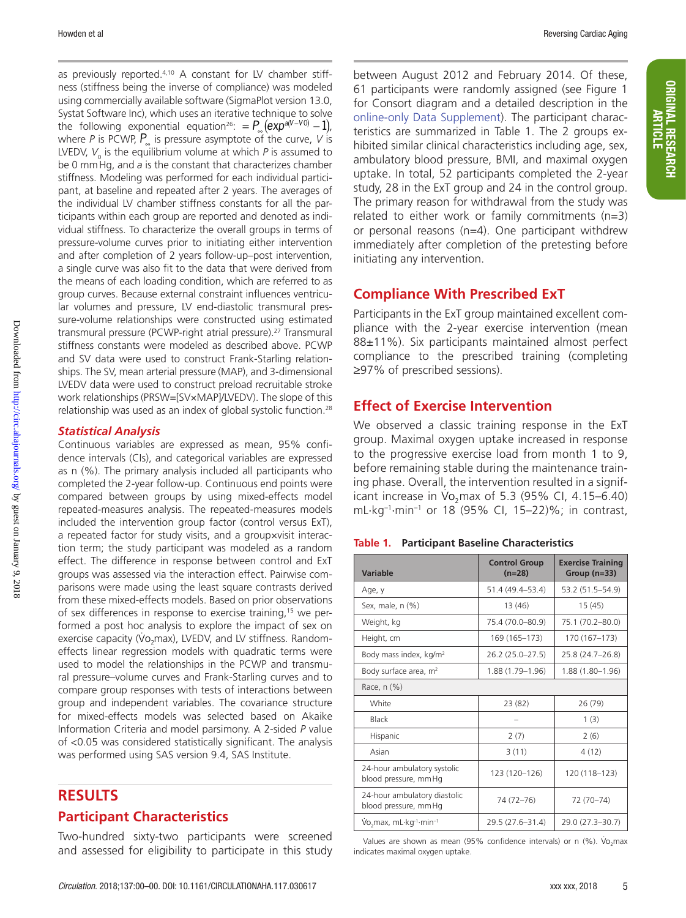Howden et al Reversing Cardiac Aging

as previously reported.4,10 A constant for LV chamber stiffness (stiffness being the inverse of compliance) was modeled using commercially available software (SigmaPlot version 13.0, Systat Software Inc), which uses an iterative technique to solve the following exponential equation<sup>26</sup>:  $= P_{\infty} (exp^{a(V-V0)} - 1)$ , where *P* is PCWP, *P*∞ is pressure asymptote of the curve, *V* is LVEDV, V<sub>0</sub> is the equilibrium volume at which P is assumed to be 0 mmHg, and *a* is the constant that characterizes chamber stiffness. Modeling was performed for each individual participant, at baseline and repeated after 2 years. The averages of the individual LV chamber stiffness constants for all the participants within each group are reported and denoted as individual stiffness. To characterize the overall groups in terms of pressure-volume curves prior to initiating either intervention and after completion of 2 years follow-up–post intervention, a single curve was also fit to the data that were derived from the means of each loading condition, which are referred to as group curves. Because external constraint influences ventricular volumes and pressure, LV end-diastolic transmural pressure-volume relationships were constructed using estimated transmural pressure (PCWP-right atrial pressure).27 Transmural stiffness constants were modeled as described above. PCWP and SV data were used to construct Frank-Starling relationships. The SV, mean arterial pressure (MAP), and 3-dimensional LVEDV data were used to construct preload recruitable stroke work relationships (PRSW=[SV×MAP]/LVEDV). The slope of this relationship was used as an index of global systolic function.28

#### *Statistical Analysis*

Continuous variables are expressed as mean, 95% confidence intervals (CIs), and categorical variables are expressed as n (%). The primary analysis included all participants who completed the 2-year follow-up. Continuous end points were compared between groups by using mixed-effects model repeated-measures analysis. The repeated-measures models included the intervention group factor (control versus ExT), a repeated factor for study visits, and a group×visit interaction term; the study participant was modeled as a random effect. The difference in response between control and ExT groups was assessed via the interaction effect. Pairwise comparisons were made using the least square contrasts derived from these mixed-effects models. Based on prior observations of sex differences in response to exercise training,<sup>15</sup> we performed a post hoc analysis to explore the impact of sex on exercise capacity (Vo<sub>2</sub>max), LVEDV, and LV stiffness. Randomeffects linear regression models with quadratic terms were used to model the relationships in the PCWP and transmural pressure–volume curves and Frank-Starling curves and to compare group responses with tests of interactions between group and independent variables. The covariance structure for mixed-effects models was selected based on Akaike Information Criteria and model parsimony. A 2-sided *P* value of <0.05 was considered statistically significant. The analysis was performed using SAS version 9.4, SAS Institute.

### **RESULTS**

### **Participant Characteristics**

Two-hundred sixty-two participants were screened and assessed for eligibility to participate in this study between August 2012 and February 2014. Of these, 61 participants were randomly assigned (see Figure 1 for Consort diagram and a detailed description in the online-only Data Supplement). The participant characteristics are summarized in Table 1. The 2 groups exhibited similar clinical characteristics including age, sex, ambulatory blood pressure, BMI, and maximal oxygen uptake. In total, 52 participants completed the 2-year study, 28 in the ExT group and 24 in the control group. The primary reason for withdrawal from the study was related to either work or family commitments (n=3) or personal reasons (n=4). One participant withdrew immediately after completion of the pretesting before initiating any intervention.

### **Compliance With Prescribed ExT**

Participants in the ExT group maintained excellent compliance with the 2-year exercise intervention (mean 88±11%). Six participants maintained almost perfect compliance to the prescribed training (completing ≥97% of prescribed sessions).

### **Effect of Exercise Intervention**

We observed a classic training response in the ExT group. Maximal oxygen uptake increased in response to the progressive exercise load from month 1 to 9, before remaining stable during the maintenance training phase. Overall, the intervention resulted in a signif-. icant increase in Vo<sub>2</sub>max of 5.3 (95% CI, 4.15–6.40) mL·kg–1·min–1 or 18 (95% CI, 15–22)%; in contrast,

| Variable                                                    | <b>Control Group</b><br>$(n=28)$ | <b>Exercise Training</b><br>Group $(n=33)$ |  |
|-------------------------------------------------------------|----------------------------------|--------------------------------------------|--|
| Age, y                                                      | 51.4 (49.4-53.4)                 | 53.2 (51.5-54.9)                           |  |
| Sex, male, n (%)                                            | 13 (46)                          | 15(45)                                     |  |
| Weight, kg                                                  | 75.4 (70.0-80.9)                 | 75.1 (70.2-80.0)                           |  |
| Height, cm                                                  | 169 (165-173)                    | 170 (167-173)                              |  |
| Body mass index, kg/m <sup>2</sup>                          | 26.2 (25.0-27.5)                 | 25.8 (24.7-26.8)                           |  |
| Body surface area, $m2$                                     | 1.88 (1.79-1.96)                 | 1.88 (1.80-1.96)                           |  |
| Race, $n$ $(\%)$                                            |                                  |                                            |  |
| White                                                       | 23 (82)                          | 26 (79)                                    |  |
| Black                                                       |                                  | 1(3)                                       |  |
| Hispanic                                                    | 2(7)                             | 2(6)                                       |  |
| Asian                                                       | 3(11)                            | 4(12)                                      |  |
| 24-hour ambulatory systolic<br>blood pressure, mm Hq        | 123 (120-126)                    | 120 (118-123)                              |  |
| 24-hour ambulatory diastolic<br>blood pressure, mm Hg       | 74 (72-76)                       | 72 (70-74)                                 |  |
| Vo <sub>2</sub> max, mL·kg <sup>-1</sup> ·min <sup>-1</sup> | 29.5 (27.6-31.4)                 | 29.0 (27.3-30.7)                           |  |

Values are shown as mean (95% confidence intervals) or n (%).  $\dot{V}o_2$ max indicates maximal oxygen uptake.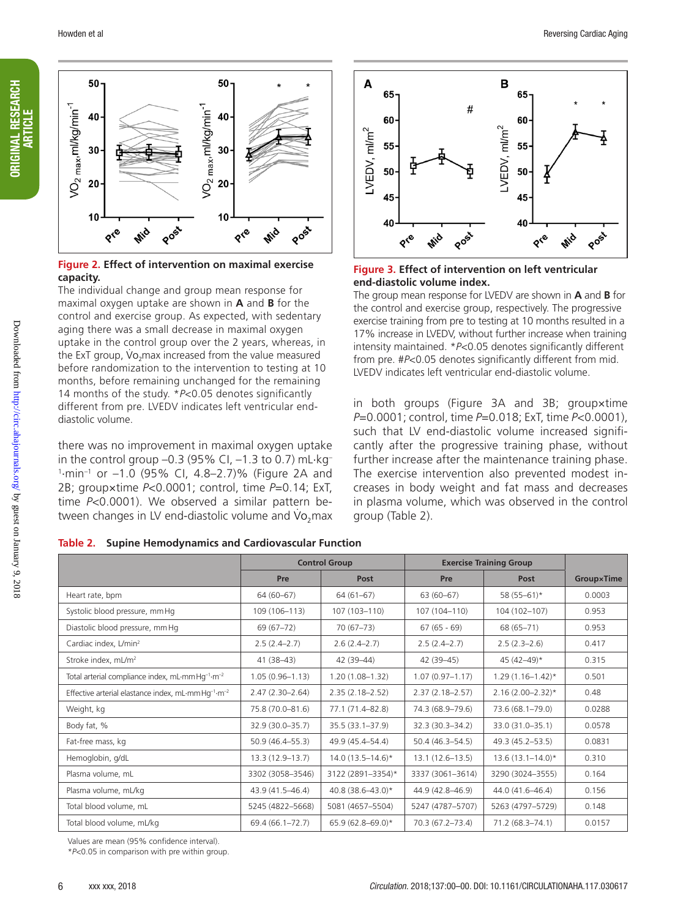



#### **Figure 2. Effect of intervention on maximal exercise capacity.**

The individual change and group mean response for maximal oxygen uptake are shown in **A** and **B** for the control and exercise group. As expected, with sedentary aging there was a small decrease in maximal oxygen uptake in the control group over the 2 years, whereas, in . the ExT group, Vo<sub>2</sub>max increased from the value measured before randomization to the intervention to testing at 10 months, before remaining unchanged for the remaining 14 months of the study. \**P*<0.05 denotes significantly different from pre. LVEDV indicates left ventricular enddiastolic volume.

there was no improvement in maximal oxygen uptake in the control group  $-0.3$  (95% CI,  $-1.3$  to 0.7) mL $\cdot$ kg<sup>-</sup> 1 ·min–1 or –1.0 (95% CI, 4.8–2.7)% (Figure 2A and 2B; group×time *P*<0.0001; control, time *P*=0.14; ExT, time P<0.0001). We observed a similar pattern between changes in LV end-diastolic volume and Vo<sub>2</sub>max

**Table 2. Supine Hemodynamics and Cardiovascular Function**



**Figure 3. Effect of intervention on left ventricular end-diastolic volume index.**

The group mean response for LVEDV are shown in **A** and **B** for the control and exercise group, respectively. The progressive exercise training from pre to testing at 10 months resulted in a 17% increase in LVEDV, without further increase when training intensity maintained. \**P*<0.05 denotes significantly different from pre. #*P*<0.05 denotes significantly different from mid. LVEDV indicates left ventricular end-diastolic volume.

in both groups (Figure 3A and 3B; group×time *P*=0.0001; control, time *P*=0.018; ExT, time *P*<0.0001), such that LV end-diastolic volume increased significantly after the progressive training phase, without further increase after the maintenance training phase. The exercise intervention also prevented modest increases in body weight and fat mass and decreases in plasma volume, which was observed in the control group (Table 2).

|                                                                            | <b>Control Group</b> |                      | <b>Exercise Training Group</b> |                         |            |  |
|----------------------------------------------------------------------------|----------------------|----------------------|--------------------------------|-------------------------|------------|--|
|                                                                            | Pre                  | Post                 | Pre                            | Post                    | Group×Time |  |
| Heart rate, bpm                                                            | $64(60-67)$          | $64(61-67)$          | $63(60-67)$                    | 58 $(55-61)*$           | 0.0003     |  |
| Systolic blood pressure, mm Hg                                             | 109 (106-113)        | 107 (103-110)        | 107 (104-110)                  | 104 (102-107)           | 0.953      |  |
| Diastolic blood pressure, mm Hg                                            | $69(67-72)$          | $70(67-73)$          | $67(65 - 69)$                  | 68 (65-71)              | 0.953      |  |
| Cardiac index, L/min <sup>2</sup>                                          | $2.5(2.4-2.7)$       | $2.6(2.4 - 2.7)$     | $2.5(2.4-2.7)$                 | $2.5(2.3-2.6)$          | 0.417      |  |
| Stroke index, mL/m <sup>2</sup>                                            | $41(38-43)$          | 42 (39-44)           | 42 (39-45)                     | 45 (42-49)*             | 0.315      |  |
| Total arterial compliance index, mL-mm Hg-1-m-2                            | $1.05(0.96 - 1.13)$  | $1.20(1.08 - 1.32)$  | $1.07(0.97 - 1.17)$            | $1.29(1.16 - 1.42)^{*}$ | 0.501      |  |
| Effective arterial elastance index, mL·mmHq <sup>-1</sup> ·m <sup>-2</sup> | $2.47(2.30 - 2.64)$  | $2.35(2.18 - 2.52)$  | $2.37(2.18 - 2.57)$            | $2.16(2.00 - 2.32)*$    | 0.48       |  |
| Weight, kg                                                                 | 75.8 (70.0-81.6)     | 77.1 (71.4-82.8)     | 74.3 (68.9-79.6)               | 73.6 (68.1-79.0)        | 0.0288     |  |
| Body fat, %                                                                | 32.9 (30.0-35.7)     | 35.5 (33.1-37.9)     | 32.3 (30.3-34.2)               | 33.0 (31.0-35.1)        | 0.0578     |  |
| Fat-free mass, kg                                                          | $50.9(46.4 - 55.3)$  | 49.9 (45.4–54.4)     | 50.4 (46.3-54.5)               | 49.3 (45.2–53.5)        | 0.0831     |  |
| Hemoglobin, g/dL                                                           | 13.3 (12.9-13.7)     | $14.0(13.5 - 14.6)*$ | $13.1(12.6 - 13.5)$            | $13.6(13.1 - 14.0)^*$   | 0.310      |  |
| Plasma volume, mL                                                          | 3302 (3058-3546)     | 3122 (2891-3354)*    | 3337 (3061-3614)               | 3290 (3024-3555)        | 0.164      |  |
| Plasma volume, mL/kg                                                       | 43.9 (41.5-46.4)     | 40.8 (38.6-43.0)*    | 44.9 (42.8-46.9)               | 44.0 (41.6-46.4)        | 0.156      |  |
| Total blood volume, mL                                                     | 5245 (4822-5668)     | 5081 (4657-5504)     | 5247 (4787-5707)               | 5263 (4797-5729)        | 0.148      |  |
| Total blood volume, mL/kg                                                  | 69.4 (66.1-72.7)     | 65.9 (62.8-69.0)*    | 70.3 (67.2-73.4)               | 71.2 (68.3-74.1)        | 0.0157     |  |

Values are mean (95% confidence interval).

\**P*<0.05 in comparison with pre within group.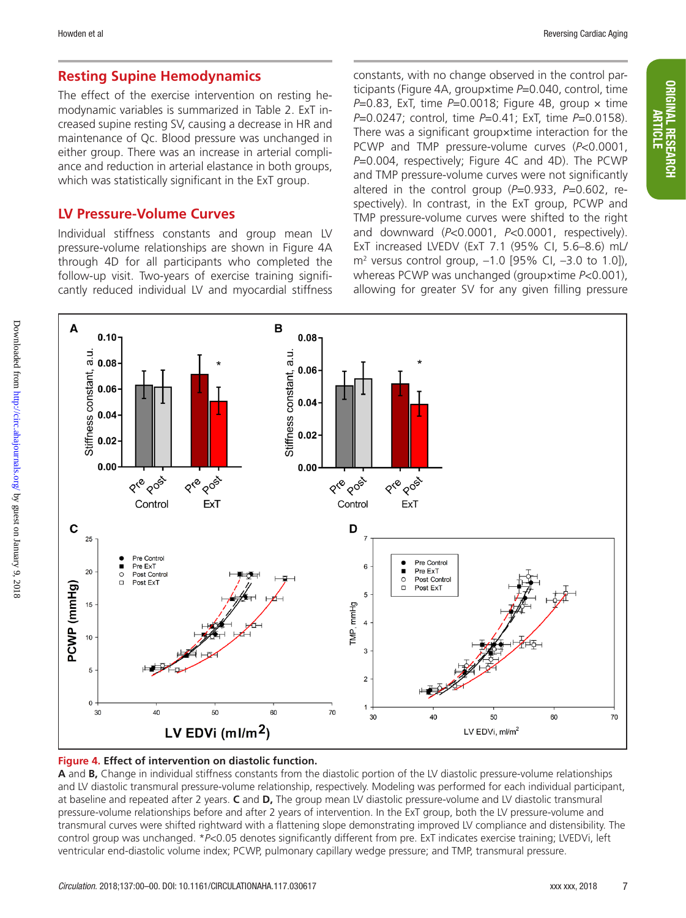ORIGINAL RESEARCH ARTICLE

**ORIGINAL RESEARCH** 

### **Resting Supine Hemodynamics**

The effect of the exercise intervention on resting hemodynamic variables is summarized in Table 2. ExT increased supine resting SV, causing a decrease in HR and maintenance of Qc. Blood pressure was unchanged in either group. There was an increase in arterial compliance and reduction in arterial elastance in both groups, which was statistically significant in the ExT group.

### **LV Pressure-Volume Curves**

Individual stiffness constants and group mean LV pressure-volume relationships are shown in Figure 4A through 4D for all participants who completed the follow-up visit. Two-years of exercise training significantly reduced individual LV and myocardial stiffness

constants, with no change observed in the control participants (Figure 4A, group×time *P*=0.040, control, time *P*=0.83, ExT, time *P*=0.0018; Figure 4B, group × time *P*=0.0247; control, time *P*=0.41; ExT, time *P*=0.0158). There was a significant group×time interaction for the PCWP and TMP pressure-volume curves (*P*<0.0001, *P*=0.004, respectively; Figure 4C and 4D). The PCWP and TMP pressure-volume curves were not significantly altered in the control group (*P*=0.933, *P*=0.602, respectively). In contrast, in the ExT group, PCWP and TMP pressure-volume curves were shifted to the right and downward (*P*<0.0001, *P*<0.0001, respectively). ExT increased LVEDV (ExT 7.1 (95% CI, 5.6–8.6) mL/  $m^2$  versus control group,  $-1.0$  [95% CI,  $-3.0$  to 1.0]), whereas PCWP was unchanged (group×time *P*<0.001), allowing for greater SV for any given filling pressure





**A** and **B,** Change in individual stiffness constants from the diastolic portion of the LV diastolic pressure-volume relationships and LV diastolic transmural pressure-volume relationship, respectively. Modeling was performed for each individual participant, at baseline and repeated after 2 years. **C** and **D,** The group mean LV diastolic pressure-volume and LV diastolic transmural pressure-volume relationships before and after 2 years of intervention. In the ExT group, both the LV pressure-volume and transmural curves were shifted rightward with a flattening slope demonstrating improved LV compliance and distensibility. The control group was unchanged. \**P*<0.05 denotes significantly different from pre. ExT indicates exercise training; LVEDVi, left ventricular end-diastolic volume index; PCWP, pulmonary capillary wedge pressure; and TMP, transmural pressure.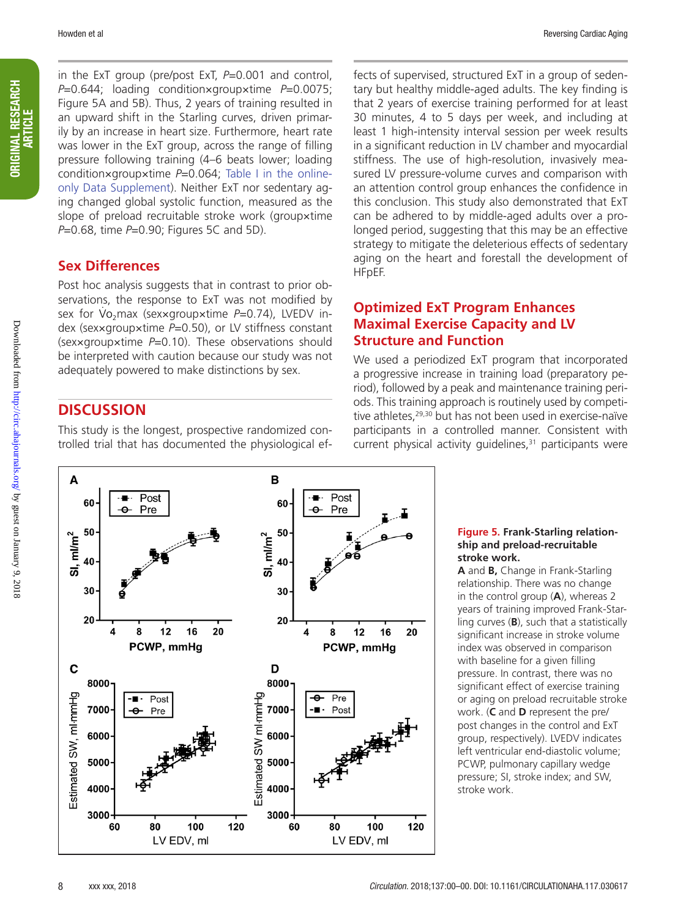ORIGINAL RESEARCH **ORIGINAL RESEARCH** ARTICLE

in the ExT group (pre/post ExT, *P*=0.001 and control, *P*=0.644; loading condition×group×time *P*=0.0075; Figure 5A and 5B). Thus, 2 years of training resulted in an upward shift in the Starling curves, driven primarily by an increase in heart size. Furthermore, heart rate was lower in the ExT group, across the range of filling pressure following training (4–6 beats lower; loading condition×group×time *P*=0.064; Table I in the onlineonly Data Supplement). Neither ExT nor sedentary aging changed global systolic function, measured as the slope of preload recruitable stroke work (group×time *P*=0.68, time *P*=0.90; Figures 5C and 5D).

### **Sex Differences**

Post hoc analysis suggests that in contrast to prior observations, the response to ExT was not modified by sex for Vo 2max (sex×group×time *P*=0.74), LVEDV index (sex×group×time *P*=0.50), or LV stiffness constant (sex×group×time *P*=0.10). These observations should be interpreted with caution because our study was not adequately powered to make distinctions by sex.

### **DISCUSSION**

This study is the longest, prospective randomized controlled trial that has documented the physiological ef-

fects of supervised, structured ExT in a group of sedentary but healthy middle-aged adults. The key finding is that 2 years of exercise training performed for at least 30 minutes, 4 to 5 days per week, and including at least 1 high-intensity interval session per week results in a significant reduction in LV chamber and myocardial stiffness. The use of high-resolution, invasively measured LV pressure-volume curves and comparison with an attention control group enhances the confidence in this conclusion. This study also demonstrated that ExT can be adhered to by middle-aged adults over a prolonged period, suggesting that this may be an effective strategy to mitigate the deleterious effects of sedentary aging on the heart and forestall the development of HFpEF.

### **Optimized ExT Program Enhances Maximal Exercise Capacity and LV Structure and Function**

We used a periodized ExT program that incorporated a progressive increase in training load (preparatory period), followed by a peak and maintenance training periods. This training approach is routinely used by competitive athletes,<sup>29,30</sup> but has not been used in exercise-naïve participants in a controlled manner. Consistent with current physical activity guidelines, $31$  participants were



#### **Figure 5. Frank-Starling relationship and preload-recruitable stroke work.**

**A** and **B,** Change in Frank-Starling relationship. There was no change in the control group (**A**), whereas 2 years of training improved Frank-Starling curves (**B**), such that a statistically significant increase in stroke volume index was observed in comparison with baseline for a given filling pressure. In contrast, there was no significant effect of exercise training or aging on preload recruitable stroke work. (**C** and **D** represent the pre/ post changes in the control and ExT group, respectively). LVEDV indicates left ventricular end-diastolic volume; PCWP, pulmonary capillary wedge pressure; SI, stroke index; and SW, stroke work.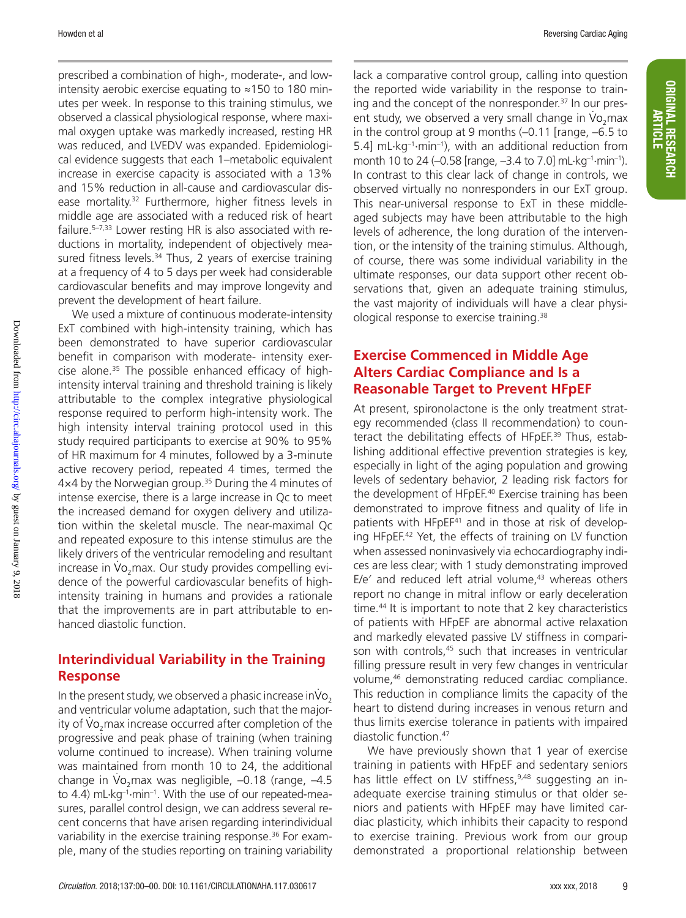prescribed a combination of high-, moderate-, and lowintensity aerobic exercise equating to ≈150 to 180 minutes per week. In response to this training stimulus, we observed a classical physiological response, where maximal oxygen uptake was markedly increased, resting HR was reduced, and LVEDV was expanded. Epidemiological evidence suggests that each 1–metabolic equivalent increase in exercise capacity is associated with a 13% and 15% reduction in all-cause and cardiovascular disease mortality.<sup>32</sup> Furthermore, higher fitness levels in middle age are associated with a reduced risk of heart failure.<sup>5-7,33</sup> Lower resting HR is also associated with reductions in mortality, independent of objectively measured fitness levels.<sup>34</sup> Thus, 2 years of exercise training at a frequency of 4 to 5 days per week had considerable cardiovascular benefits and may improve longevity and prevent the development of heart failure.

We used a mixture of continuous moderate-intensity ExT combined with high-intensity training, which has been demonstrated to have superior cardiovascular benefit in comparison with moderate- intensity exercise alone.35 The possible enhanced efficacy of highintensity interval training and threshold training is likely attributable to the complex integrative physiological response required to perform high-intensity work. The high intensity interval training protocol used in this study required participants to exercise at 90% to 95% of HR maximum for 4 minutes, followed by a 3-minute active recovery period, repeated 4 times, termed the  $4\times4$  by the Norwegian group.<sup>35</sup> During the 4 minutes of intense exercise, there is a large increase in Qc to meet the increased demand for oxygen delivery and utilization within the skeletal muscle. The near-maximal Qc and repeated exposure to this intense stimulus are the likely drivers of the ventricular remodeling and resultant . increase in Vo 2max. Our study provides compelling evidence of the powerful cardiovascular benefits of highintensity training in humans and provides a rationale that the improvements are in part attributable to enhanced diastolic function.

### **Interindividual Variability in the Training Response**

In the present study, we observed a phasic increase inVo . 2 and ventricular volume adaptation, such that the major-. ity of Vo 2max increase occurred after completion of the progressive and peak phase of training (when training volume continued to increase). When training volume was maintained from month 10 to 24, the additional . change in Vo 2max was negligible, –0.18 (range, –4.5 to 4.4) mL·kg<sup>-1</sup>·min<sup>-1</sup>. With the use of our repeated-measures, parallel control design, we can address several recent concerns that have arisen regarding interindividual variability in the exercise training response.<sup>36</sup> For example, many of the studies reporting on training variability

lack a comparative control group, calling into question the reported wide variability in the response to training and the concept of the nonresponder.<sup>37</sup> In our present study, we observed a very small change in Vo<sub>2</sub>max in the control group at 9 months (–0.11 [range, –6.5 to 5.4] mL $\cdot$ kg<sup>-1</sup> $\cdot$ min<sup>-1</sup>), with an additional reduction from month 10 to 24 (–0.58 [range, –3.4 to 7.0] mL·kg–1·min–1). In contrast to this clear lack of change in controls, we observed virtually no nonresponders in our ExT group. This near-universal response to ExT in these middleaged subjects may have been attributable to the high levels of adherence, the long duration of the intervention, or the intensity of the training stimulus. Although, of course, there was some individual variability in the ultimate responses, our data support other recent observations that, given an adequate training stimulus, the vast majority of individuals will have a clear physiological response to exercise training.38

### **Exercise Commenced in Middle Age Alters Cardiac Compliance and Is a Reasonable Target to Prevent HFpEF**

At present, spironolactone is the only treatment strategy recommended (class II recommendation) to counteract the debilitating effects of HFpEF.<sup>39</sup> Thus, establishing additional effective prevention strategies is key, especially in light of the aging population and growing levels of sedentary behavior, 2 leading risk factors for the development of HFpEF.<sup>40</sup> Exercise training has been demonstrated to improve fitness and quality of life in patients with HFpEF<sup>41</sup> and in those at risk of developing HFpEF.42 Yet, the effects of training on LV function when assessed noninvasively via echocardiography indices are less clear; with 1 study demonstrating improved E/e $\degree$  and reduced left atrial volume, $43$  whereas others report no change in mitral inflow or early deceleration time.44 It is important to note that 2 key characteristics of patients with HFpEF are abnormal active relaxation and markedly elevated passive LV stiffness in comparison with controls,<sup>45</sup> such that increases in ventricular filling pressure result in very few changes in ventricular volume,46 demonstrating reduced cardiac compliance. This reduction in compliance limits the capacity of the heart to distend during increases in venous return and thus limits exercise tolerance in patients with impaired diastolic function.47

We have previously shown that 1 year of exercise training in patients with HFpEF and sedentary seniors has little effect on LV stiffness,<sup>9,48</sup> suggesting an inadequate exercise training stimulus or that older seniors and patients with HFpEF may have limited cardiac plasticity, which inhibits their capacity to respond to exercise training. Previous work from our group demonstrated a proportional relationship between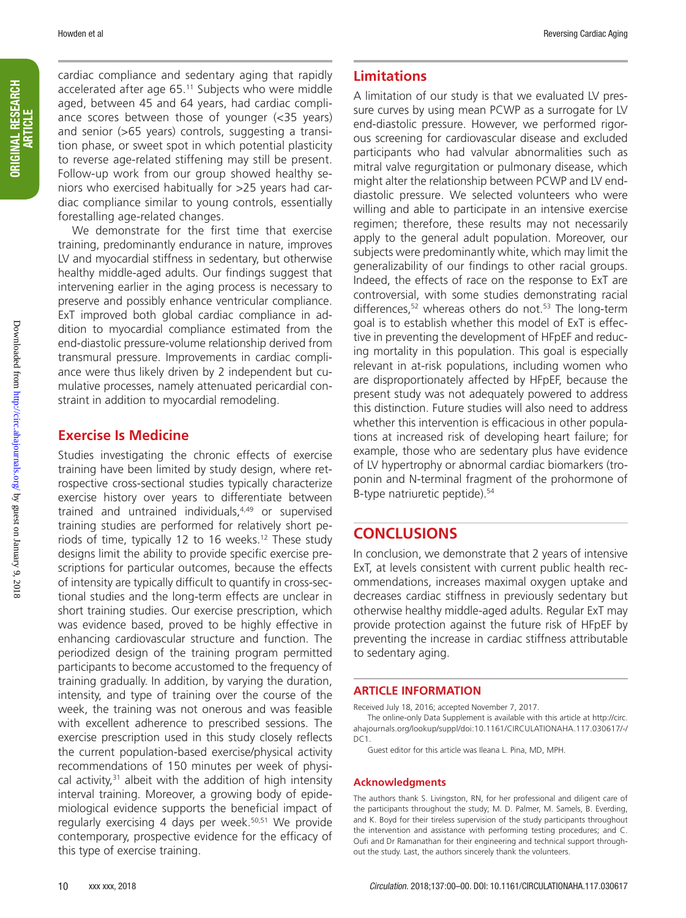ORIGINAL RESEARCH ORIGINAL RESEARCH<br>ARTICLE

cardiac compliance and sedentary aging that rapidly accelerated after age 65.11 Subjects who were middle aged, between 45 and 64 years, had cardiac compliance scores between those of younger (<35 years) and senior (>65 years) controls, suggesting a transition phase, or sweet spot in which potential plasticity to reverse age-related stiffening may still be present. Follow-up work from our group showed healthy seniors who exercised habitually for >25 years had cardiac compliance similar to young controls, essentially forestalling age-related changes.

We demonstrate for the first time that exercise training, predominantly endurance in nature, improves LV and myocardial stiffness in sedentary, but otherwise healthy middle-aged adults. Our findings suggest that intervening earlier in the aging process is necessary to preserve and possibly enhance ventricular compliance. ExT improved both global cardiac compliance in addition to myocardial compliance estimated from the end-diastolic pressure-volume relationship derived from transmural pressure. Improvements in cardiac compliance were thus likely driven by 2 independent but cumulative processes, namely attenuated pericardial constraint in addition to myocardial remodeling.

### **Exercise Is Medicine**

Studies investigating the chronic effects of exercise training have been limited by study design, where retrospective cross-sectional studies typically characterize exercise history over years to differentiate between trained and untrained individuals,<sup>4,49</sup> or supervised training studies are performed for relatively short periods of time, typically 12 to 16 weeks.<sup>12</sup> These study designs limit the ability to provide specific exercise prescriptions for particular outcomes, because the effects of intensity are typically difficult to quantify in cross-sectional studies and the long-term effects are unclear in short training studies. Our exercise prescription, which was evidence based, proved to be highly effective in enhancing cardiovascular structure and function. The periodized design of the training program permitted participants to become accustomed to the frequency of training gradually. In addition, by varying the duration, intensity, and type of training over the course of the week, the training was not onerous and was feasible with excellent adherence to prescribed sessions. The exercise prescription used in this study closely reflects the current population-based exercise/physical activity recommendations of 150 minutes per week of physical activity, $31$  albeit with the addition of high intensity interval training. Moreover, a growing body of epidemiological evidence supports the beneficial impact of regularly exercising 4 days per week.<sup>50,51</sup> We provide contemporary, prospective evidence for the efficacy of this type of exercise training.

### **Limitations**

A limitation of our study is that we evaluated LV pressure curves by using mean PCWP as a surrogate for LV end-diastolic pressure. However, we performed rigorous screening for cardiovascular disease and excluded participants who had valvular abnormalities such as mitral valve regurgitation or pulmonary disease, which might alter the relationship between PCWP and LV enddiastolic pressure. We selected volunteers who were willing and able to participate in an intensive exercise regimen; therefore, these results may not necessarily apply to the general adult population. Moreover, our subjects were predominantly white, which may limit the generalizability of our findings to other racial groups. Indeed, the effects of race on the response to ExT are controversial, with some studies demonstrating racial differences, $52$  whereas others do not. $53$  The long-term goal is to establish whether this model of ExT is effective in preventing the development of HFpEF and reducing mortality in this population. This goal is especially relevant in at-risk populations, including women who are disproportionately affected by HFpEF, because the present study was not adequately powered to address this distinction. Future studies will also need to address whether this intervention is efficacious in other populations at increased risk of developing heart failure; for example, those who are sedentary plus have evidence of LV hypertrophy or abnormal cardiac biomarkers (troponin and N-terminal fragment of the prohormone of B-type natriuretic peptide).54

### **CONCLUSIONS**

In conclusion, we demonstrate that 2 years of intensive ExT, at levels consistent with current public health recommendations, increases maximal oxygen uptake and decreases cardiac stiffness in previously sedentary but otherwise healthy middle-aged adults. Regular ExT may provide protection against the future risk of HFpEF by preventing the increase in cardiac stiffness attributable to sedentary aging.

### **ARTICLE INFORMATION**

Received July 18, 2016; accepted November 7, 2017.

The online-only Data Supplement is available with this article at http://circ. ahajournals.org/lookup/suppl/doi:10.1161/CIRCULATIONAHA.117.030617/-/  $DC1$ 

Guest editor for this article was Ileana L. Pina, MD, MPH.

#### **Acknowledgments**

The authors thank S. Livingston, RN, for her professional and diligent care of the participants throughout the study; M. D. Palmer, M. Samels, B. Everding, and K. Boyd for their tireless supervision of the study participants throughout the intervention and assistance with performing testing procedures; and C. Oufi and Dr Ramanathan for their engineering and technical support throughout the study. Last, the authors sincerely thank the volunteers.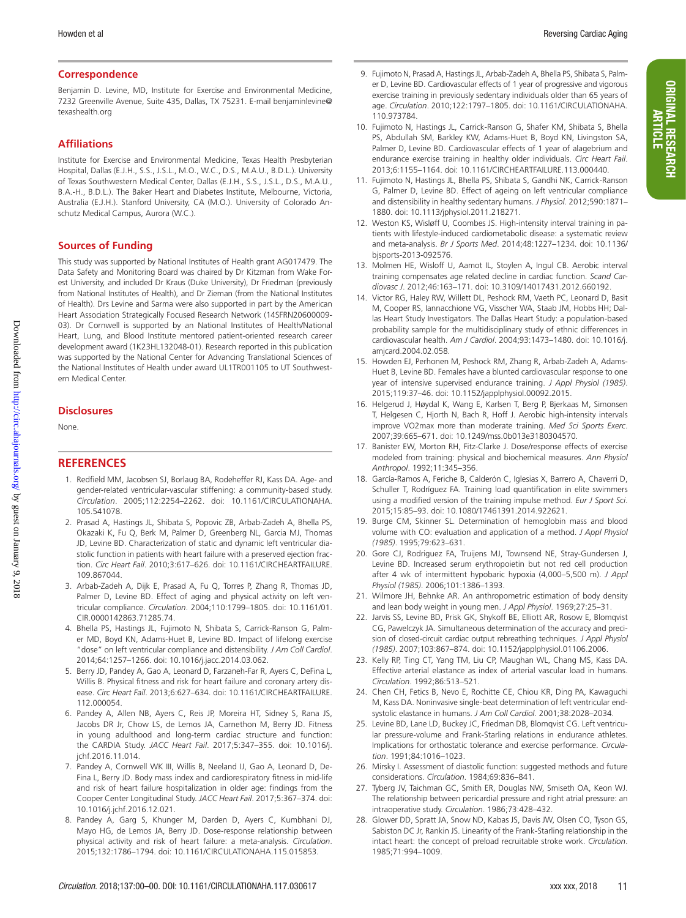ORIGINAL RESEARCH ARTICLE

**ORIGINAL RESEARCH** 

#### **Correspondence**

Benjamin D. Levine, MD, Institute for Exercise and Environmental Medicine, 7232 Greenville Avenue, Suite 435, Dallas, TX 75231. E-mail [benjaminlevine@](mailto:﻿b﻿﻿enjamin﻿﻿l﻿﻿evine@texashealth.org﻿) [texashealth.org](mailto:﻿b﻿﻿enjamin﻿﻿l﻿﻿evine@texashealth.org﻿)

#### **Affiliations**

Institute for Exercise and Environmental Medicine, Texas Health Presbyterian Hospital, Dallas (E.J.H., S.S., J.S.L., M.O., W.C., D.S., M.A.U., B.D.L.). University of Texas Southwestern Medical Center, Dallas (E.J.H., S.S., J.S.L., D.S., M.A.U., B.A.-H., B.D.L.). The Baker Heart and Diabetes Institute, Melbourne, Victoria, Australia (E.J.H.). Stanford University, CA (M.O.). University of Colorado Anschutz Medical Campus, Aurora (W.C.).

#### **Sources of Funding**

This study was supported by National Institutes of Health grant AG017479. The Data Safety and Monitoring Board was chaired by Dr Kitzman from Wake Forest University, and included Dr Kraus (Duke University), Dr Friedman (previously from National Institutes of Health), and Dr Zieman (from the National Institutes of Health). Drs Levine and Sarma were also supported in part by the American Heart Association Strategically Focused Research Network (14SFRN20600009- 03). Dr Cornwell is supported by an National Institutes of Health/National Heart, Lung, and Blood Institute mentored patient-oriented research career development award (1K23HL132048-01). Research reported in this publication was supported by the National Center for Advancing Translational Sciences of the National Institutes of Health under award UL1TR001105 to UT Southwestern Medical Center.

#### **Disclosures**

None.

#### **REFERENCES**

- 1. Redfield MM, Jacobsen SJ, Borlaug BA, Rodeheffer RJ, Kass DA. Age- and gender-related ventricular-vascular stiffening: a community-based study. *Circulation*. 2005;112:2254–2262. doi: 10.1161/CIRCULATIONAHA. 105.541078.
- 2. Prasad A, Hastings JL, Shibata S, Popovic ZB, Arbab-Zadeh A, Bhella PS, Okazaki K, Fu Q, Berk M, Palmer D, Greenberg NL, Garcia MJ, Thomas JD, Levine BD. Characterization of static and dynamic left ventricular diastolic function in patients with heart failure with a preserved ejection fraction. *Circ Heart Fail*. 2010;3:617–626. doi: 10.1161/CIRCHEARTFAILURE. 109.867044.
- 3. Arbab-Zadeh A, Dijk E, Prasad A, Fu Q, Torres P, Zhang R, Thomas JD, Palmer D, Levine BD. Effect of aging and physical activity on left ventricular compliance. *Circulation*. 2004;110:1799–1805. doi: 10.1161/01. CIR.0000142863.71285.74.
- 4. Bhella PS, Hastings JL, Fujimoto N, Shibata S, Carrick-Ranson G, Palmer MD, Boyd KN, Adams-Huet B, Levine BD. Impact of lifelong exercise "dose" on left ventricular compliance and distensibility. *J Am Coll Cardiol*. 2014;64:1257–1266. doi: 10.1016/j.jacc.2014.03.062.
- 5. Berry JD, Pandey A, Gao A, Leonard D, Farzaneh-Far R, Ayers C, DeFina L, Willis B. Physical fitness and risk for heart failure and coronary artery disease. *Circ Heart Fail*. 2013;6:627–634. doi: 10.1161/CIRCHEARTFAILURE. 112.000054.
- 6. Pandey A, Allen NB, Ayers C, Reis JP, Moreira HT, Sidney S, Rana JS, Jacobs DR Jr, Chow LS, de Lemos JA, Carnethon M, Berry JD. Fitness in young adulthood and long-term cardiac structure and function: the CARDIA Study. *JACC Heart Fail*. 2017;5:347–355. doi: 10.1016/j. jchf.2016.11.014.
- 7. Pandey A, Cornwell WK III, Willis B, Neeland IJ, Gao A, Leonard D, De-Fina L, Berry JD. Body mass index and cardiorespiratory fitness in mid-life and risk of heart failure hospitalization in older age: findings from the Cooper Center Longitudinal Study. *JACC Heart Fail*. 2017;5:367–374. doi: 10.1016/j.jchf.2016.12.021.
- 8. Pandey A, Garg S, Khunger M, Darden D, Ayers C, Kumbhani DJ, Mayo HG, de Lemos JA, Berry JD. Dose-response relationship between physical activity and risk of heart failure: a meta-analysis. *Circulation*. 2015;132:1786–1794. doi: 10.1161/CIRCULATIONAHA.115.015853.
- 9. Fujimoto N, Prasad A, Hastings JL, Arbab-Zadeh A, Bhella PS, Shibata S, Palmer D, Levine BD. Cardiovascular effects of 1 year of progressive and vigorous exercise training in previously sedentary individuals older than 65 years of age. *Circulation*. 2010;122:1797–1805. doi: 10.1161/CIRCULATIONAHA. 110.973784.
- 10. Fujimoto N, Hastings JL, Carrick-Ranson G, Shafer KM, Shibata S, Bhella PS, Abdullah SM, Barkley KW, Adams-Huet B, Boyd KN, Livingston SA, Palmer D, Levine BD. Cardiovascular effects of 1 year of alagebrium and endurance exercise training in healthy older individuals. *Circ Heart Fail*. 2013;6:1155–1164. doi: 10.1161/CIRCHEARTFAILURE.113.000440.
- 11. Fujimoto N, Hastings JL, Bhella PS, Shibata S, Gandhi NK, Carrick-Ranson G, Palmer D, Levine BD. Effect of ageing on left ventricular compliance and distensibility in healthy sedentary humans. *J Physiol*. 2012;590:1871– 1880. doi: 10.1113/jphysiol.2011.218271.
- 12. Weston KS, Wisløff U, Coombes JS. High-intensity interval training in patients with lifestyle-induced cardiometabolic disease: a systematic review and meta-analysis. *Br J Sports Med*. 2014;48:1227–1234. doi: 10.1136/ bjsports-2013-092576.
- 13. Molmen HE, Wisloff U, Aamot IL, Stoylen A, Ingul CB. Aerobic interval training compensates age related decline in cardiac function. *Scand Cardiovasc J*. 2012;46:163–171. doi: 10.3109/14017431.2012.660192.
- 14. Victor RG, Haley RW, Willett DL, Peshock RM, Vaeth PC, Leonard D, Basit M, Cooper RS, Iannacchione VG, Visscher WA, Staab JM, Hobbs HH; Dallas Heart Study Investigators. The Dallas Heart Study: a population-based probability sample for the multidisciplinary study of ethnic differences in cardiovascular health. *Am J Cardiol*. 2004;93:1473–1480. doi: 10.1016/j. amjcard.2004.02.058.
- 15. Howden EJ, Perhonen M, Peshock RM, Zhang R, Arbab-Zadeh A, Adams-Huet B, Levine BD. Females have a blunted cardiovascular response to one year of intensive supervised endurance training. *J Appl Physiol (1985)*. 2015;119:37–46. doi: 10.1152/japplphysiol.00092.2015.
- 16. Helgerud J, Høydal K, Wang E, Karlsen T, Berg P, Bjerkaas M, Simonsen T, Helgesen C, Hjorth N, Bach R, Hoff J. Aerobic high-intensity intervals improve VO2max more than moderate training. *Med Sci Sports Exerc*. 2007;39:665–671. doi: 10.1249/mss.0b013e3180304570.
- 17. Banister EW, Morton RH, Fitz-Clarke J. Dose/response effects of exercise modeled from training: physical and biochemical measures. *Ann Physiol Anthropol*. 1992;11:345–356.
- 18. García-Ramos A, Feriche B, Calderón C, Iglesias X, Barrero A, Chaverri D, Schuller T, Rodríguez FA. Training load quantification in elite swimmers using a modified version of the training impulse method. *Eur J Sport Sci*. 2015;15:85–93. doi: 10.1080/17461391.2014.922621.
- 19. Burge CM, Skinner SL. Determination of hemoglobin mass and blood volume with CO: evaluation and application of a method. *J Appl Physiol (1985)*. 1995;79:623–631.
- 20. Gore CJ, Rodriguez FA, Truijens MJ, Townsend NE, Stray-Gundersen J, Levine BD. Increased serum erythropoietin but not red cell production after 4 wk of intermittent hypobaric hypoxia (4,000–5,500 m). *J Appl Physiol (1985)*. 2006;101:1386–1393.
- 21. Wilmore JH, Behnke AR. An anthropometric estimation of body density and lean body weight in young men. *J Appl Physiol*. 1969;27:25–31.
- 22. Jarvis SS, Levine BD, Prisk GK, Shykoff BE, Elliott AR, Rosow E, Blomqvist CG, Pawelczyk JA. Simultaneous determination of the accuracy and precision of closed-circuit cardiac output rebreathing techniques. *J Appl Physiol (1985)*. 2007;103:867–874. doi: 10.1152/japplphysiol.01106.2006.
- 23. Kelly RP, Ting CT, Yang TM, Liu CP, Maughan WL, Chang MS, Kass DA. Effective arterial elastance as index of arterial vascular load in humans. *Circulation*. 1992;86:513–521.
- 24. Chen CH, Fetics B, Nevo E, Rochitte CE, Chiou KR, Ding PA, Kawaguchi M, Kass DA. Noninvasive single-beat determination of left ventricular endsystolic elastance in humans. *J Am Coll Cardiol*. 2001;38:2028–2034.
- 25. Levine BD, Lane LD, Buckey JC, Friedman DB, Blomqvist CG. Left ventricular pressure-volume and Frank-Starling relations in endurance athletes. Implications for orthostatic tolerance and exercise performance. *Circulation*. 1991;84:1016–1023.
- 26. Mirsky I. Assessment of diastolic function: suggested methods and future considerations. *Circulation*. 1984;69:836–841.
- 27. Tyberg JV, Taichman GC, Smith ER, Douglas NW, Smiseth OA, Keon WJ. The relationship between pericardial pressure and right atrial pressure: an intraoperative study. *Circulation*. 1986;73:428–432.
- 28. Glower DD, Spratt JA, Snow ND, Kabas JS, Davis JW, Olsen CO, Tyson GS, Sabiston DC Jr, Rankin JS. Linearity of the Frank-Starling relationship in the intact heart: the concept of preload recruitable stroke work. *Circulation*. 1985;71:994–1009.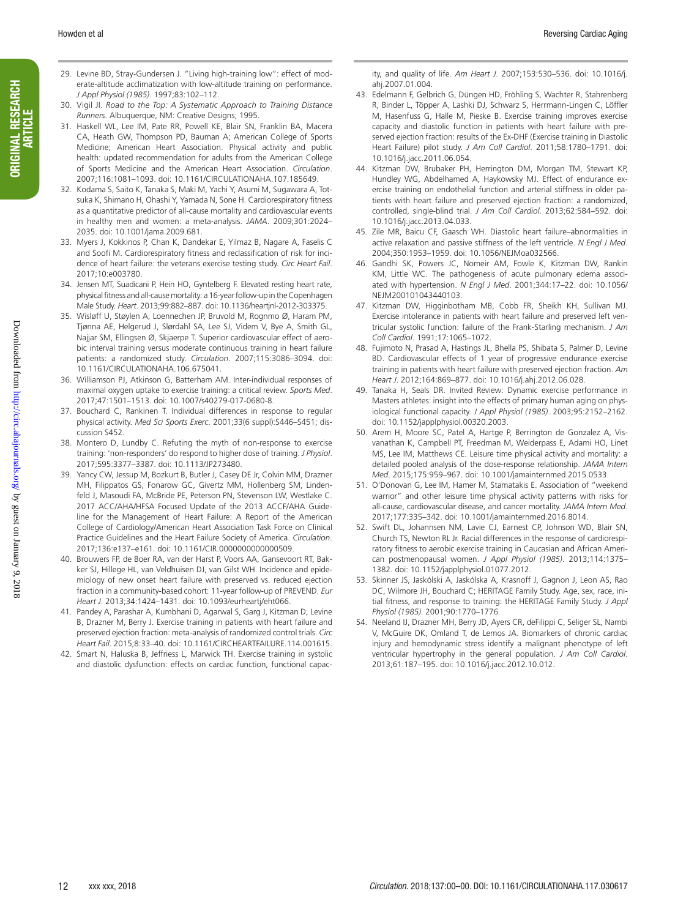- 29. Levine BD, Stray-Gundersen J. "Living high-training low": effect of moderate-altitude acclimatization with low-altitude training on performance. *J Appl Physiol (1985)*. 1997;83:102–112.
- 30. Vigil JI. *Road to the Top: A Systematic Approach to Training Distance Runners*. Albuquerque, NM: Creative Designs; 1995.
- 31. Haskell WL, Lee IM, Pate RR, Powell KE, Blair SN, Franklin BA, Macera CA, Heath GW, Thompson PD, Bauman A; American College of Sports Medicine; American Heart Association. Physical activity and public health: updated recommendation for adults from the American College of Sports Medicine and the American Heart Association. *Circulation*. 2007;116:1081–1093. doi: 10.1161/CIRCULATIONAHA.107.185649.
- 32. Kodama S, Saito K, Tanaka S, Maki M, Yachi Y, Asumi M, Sugawara A, Totsuka K, Shimano H, Ohashi Y, Yamada N, Sone H. Cardiorespiratory fitness as a quantitative predictor of all-cause mortality and cardiovascular events in healthy men and women: a meta-analysis. *JAMA*. 2009;301:2024– 2035. doi: 10.1001/jama.2009.681.
- 33. Myers J, Kokkinos P, Chan K, Dandekar E, Yilmaz B, Nagare A, Faselis C and Soofi M. Cardiorespiratory fitness and reclassification of risk for incidence of heart failure: the veterans exercise testing study. *Circ Heart Fail*. 2017;10:e003780.
- 34. Jensen MT, Suadicani P, Hein HO, Gyntelberg F. Elevated resting heart rate, physical fitness and all-cause mortality: a 16-year follow-up in the Copenhagen Male Study. *Heart*. 2013;99:882–887. doi: 10.1136/heartjnl-2012-303375.
- 35. Wisløff U, Støylen A, Loennechen JP, Bruvold M, Rognmo Ø, Haram PM, Tjønna AE, Helgerud J, Slørdahl SA, Lee SJ, Videm V, Bye A, Smith GL, Najjar SM, Ellingsen Ø, Skjaerpe T. Superior cardiovascular effect of aerobic interval training versus moderate continuous training in heart failure patients: a randomized study. *Circulation*. 2007;115:3086–3094. doi: 10.1161/CIRCULATIONAHA.106.675041.
- 36. Williamson PJ, Atkinson G, Batterham AM. Inter-individual responses of maximal oxygen uptake to exercise training: a critical review. *Sports Med*. 2017;47:1501–1513. doi: 10.1007/s40279-017-0680-8.
- 37. Bouchard C, Rankinen T. Individual differences in response to regular physical activity. *Med Sci Sports Exerc*. 2001;33(6 suppl):S446–S451; discussion S452.
- 38. Montero D, Lundby C. Refuting the myth of non-response to exercise training: 'non-responders' do respond to higher dose of training. *J Physiol*. 2017;595:3377–3387. doi: 10.1113/JP273480.
- 39. Yancy CW, Jessup M, Bozkurt B, Butler J, Casey DE Jr, Colvin MM, Drazner MH, Filippatos GS, Fonarow GC, Givertz MM, Hollenberg SM, Lindenfeld J, Masoudi FA, McBride PE, Peterson PN, Stevenson LW, Westlake C. 2017 ACC/AHA/HFSA Focused Update of the 2013 ACCF/AHA Guideline for the Management of Heart Failure: A Report of the American College of Cardiology/American Heart Association Task Force on Clinical Practice Guidelines and the Heart Failure Society of America. *Circulation*. 2017;136:e137–e161. doi: 10.1161/CIR.0000000000000509.
- 40. Brouwers FP, de Boer RA, van der Harst P, Voors AA, Gansevoort RT, Bakker SJ, Hillege HL, van Veldhuisen DJ, van Gilst WH. Incidence and epidemiology of new onset heart failure with preserved vs. reduced ejection fraction in a community-based cohort: 11-year follow-up of PREVEND. *Eur Heart J*. 2013;34:1424–1431. doi: 10.1093/eurheartj/eht066.
- 41. Pandey A, Parashar A, Kumbhani D, Agarwal S, Garg J, Kitzman D, Levine B, Drazner M, Berry J. Exercise training in patients with heart failure and preserved ejection fraction: meta-analysis of randomized control trials. *Circ Heart Fail*. 2015;8:33–40. doi: 10.1161/CIRCHEARTFAILURE.114.001615.
- 42. Smart N, Haluska B, Jeffriess L, Marwick TH. Exercise training in systolic and diastolic dysfunction: effects on cardiac function, functional capac-

ity, and quality of life. *Am Heart J*. 2007;153:530–536. doi: 10.1016/j. ahj.2007.01.004.

- 43. Edelmann F, Gelbrich G, Düngen HD, Fröhling S, Wachter R, Stahrenberg R, Binder L, Töpper A, Lashki DJ, Schwarz S, Herrmann-Lingen C, Löffler M, Hasenfuss G, Halle M, Pieske B. Exercise training improves exercise capacity and diastolic function in patients with heart failure with preserved ejection fraction: results of the Ex-DHF (Exercise training in Diastolic Heart Failure) pilot study. *J Am Coll Cardiol*. 2011;58:1780–1791. doi: 10.1016/j.jacc.2011.06.054.
- 44. Kitzman DW, Brubaker PH, Herrington DM, Morgan TM, Stewart KP, Hundley WG, Abdelhamed A, Haykowsky MJ. Effect of endurance exercise training on endothelial function and arterial stiffness in older patients with heart failure and preserved ejection fraction: a randomized, controlled, single-blind trial. *J Am Coll Cardiol*. 2013;62:584–592. doi: 10.1016/j.jacc.2013.04.033.
- 45. Zile MR, Baicu CF, Gaasch WH. Diastolic heart failure–abnormalities in active relaxation and passive stiffness of the left ventricle. *N Engl J Med*. 2004;350:1953–1959. doi: 10.1056/NEJMoa032566.
- 46. Gandhi SK, Powers JC, Nomeir AM, Fowle K, Kitzman DW, Rankin KM, Little WC. The pathogenesis of acute pulmonary edema associated with hypertension. *N Engl J Med*. 2001;344:17–22. doi: 10.1056/ NEJM200101043440103.
- 47. Kitzman DW, Higginbotham MB, Cobb FR, Sheikh KH, Sullivan MJ. Exercise intolerance in patients with heart failure and preserved left ventricular systolic function: failure of the Frank-Starling mechanism. *J Am Coll Cardiol*. 1991;17:1065–1072.
- 48. Fujimoto N, Prasad A, Hastings JL, Bhella PS, Shibata S, Palmer D, Levine BD. Cardiovascular effects of 1 year of progressive endurance exercise training in patients with heart failure with preserved ejection fraction. *Am Heart J*. 2012;164:869–877. doi: 10.1016/j.ahj.2012.06.028.
- 49. Tanaka H, Seals DR. Invited Review: Dynamic exercise performance in Masters athletes: insight into the effects of primary human aging on physiological functional capacity. *J Appl Physiol (1985)*. 2003;95:2152–2162. doi: 10.1152/japplphysiol.00320.2003.
- 50. Arem H, Moore SC, Patel A, Hartge P, Berrington de Gonzalez A, Visvanathan K, Campbell PT, Freedman M, Weiderpass E, Adami HO, Linet MS, Lee IM, Matthews CE. Leisure time physical activity and mortality: a detailed pooled analysis of the dose-response relationship. *JAMA Intern Med*. 2015;175:959–967. doi: 10.1001/jamainternmed.2015.0533.
- 51. O'Donovan G, Lee IM, Hamer M, Stamatakis E. Association of "weekend warrior" and other leisure time physical activity patterns with risks for all-cause, cardiovascular disease, and cancer mortality. *JAMA Intern Med*. 2017;177:335–342. doi: 10.1001/jamainternmed.2016.8014.
- 52. Swift DL, Johannsen NM, Lavie CJ, Earnest CP, Johnson WD, Blair SN, Church TS, Newton RL Jr. Racial differences in the response of cardiorespiratory fitness to aerobic exercise training in Caucasian and African American postmenopausal women. *J Appl Physiol (1985)*. 2013;114:1375– 1382. doi: 10.1152/japplphysiol.01077.2012.
- 53. Skinner JS, Jaskólski A, Jaskólska A, Krasnoff J, Gagnon J, Leon AS, Rao DC, Wilmore JH, Bouchard C; HERITAGE Family Study. Age, sex, race, initial fitness, and response to training: the HERITAGE Family Study. *J Appl Physiol (1985)*. 2001;90:1770–1776.
- 54. Neeland IJ, Drazner MH, Berry JD, Ayers CR, deFilippi C, Seliger SL, Nambi V, McGuire DK, Omland T, de Lemos JA. Biomarkers of chronic cardiac injury and hemodynamic stress identify a malignant phenotype of left ventricular hypertrophy in the general population. *J Am Coll Cardiol*. 2013;61:187–195. doi: 10.1016/j.jacc.2012.10.012.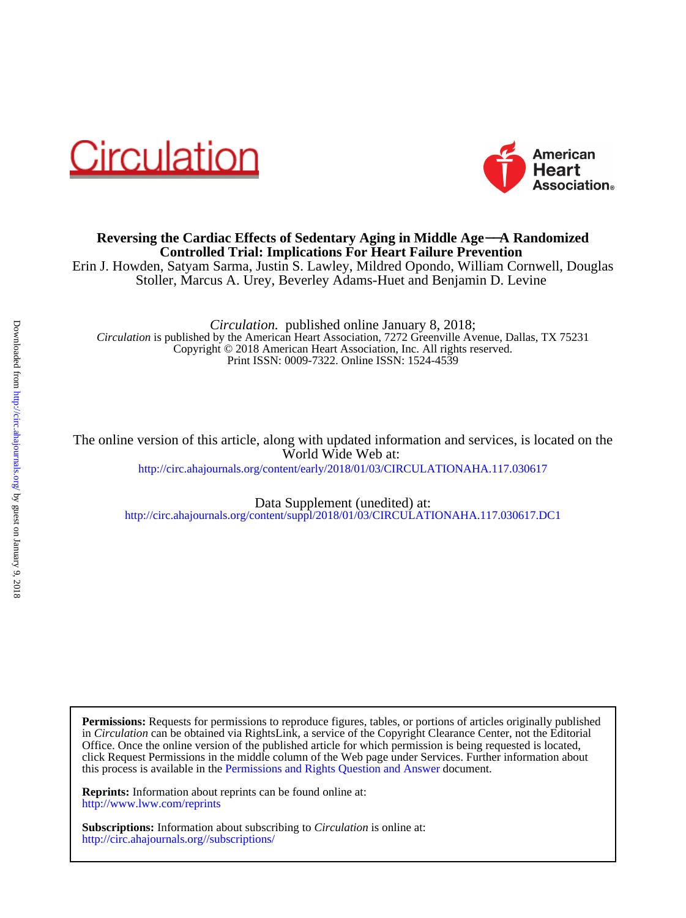



### **Controlled Trial: Implications For Heart Failure Prevention Reversing the Cardiac Effects of Sedentary Aging in Middle Age**−−**A Randomized**

Stoller, Marcus A. Urey, Beverley Adams-Huet and Benjamin D. Levine Erin J. Howden, Satyam Sarma, Justin S. Lawley, Mildred Opondo, William Cornwell, Douglas

Print ISSN: 0009-7322. Online ISSN: 1524-4539 Copyright © 2018 American Heart Association, Inc. All rights reserved. *Circulation* is published by the American Heart Association, 7272 Greenville Avenue, Dallas, TX 75231 *Circulation.* published online January 8, 2018;

<http://circ.ahajournals.org/content/early/2018/01/03/CIRCULATIONAHA.117.030617> World Wide Web at: The online version of this article, along with updated information and services, is located on the

<http://circ.ahajournals.org/content/suppl/2018/01/03/CIRCULATIONAHA.117.030617.DC1> Data Supplement (unedited) at:

this process is available in the [Permissions and Rights Question and Answer d](http://www.ahajournals.org/site/rights/)ocument. click Request Permissions in the middle column of the Web page under Services. Further information about Office. Once the online version of the published article for which permission is being requested is located, in *Circulation* can be obtained via RightsLink, a service of the Copyright Clearance Center, not the Editorial **Permissions:** Requests for permissions to reproduce figures, tables, or portions of articles originally published

<http://www.lww.com/reprints> **Reprints:** Information about reprints can be found online at:

<http://circ.ahajournals.org//subscriptions/> **Subscriptions:** Information about subscribing to *Circulation* is online at: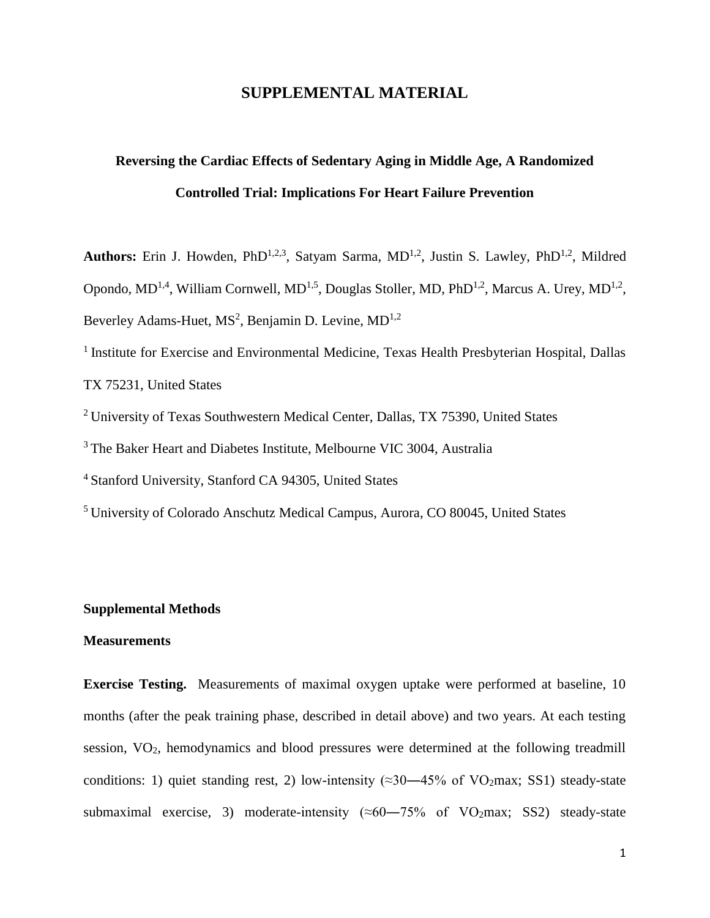### **SUPPLEMENTAL MATERIAL**

# **Reversing the Cardiac Effects of Sedentary Aging in Middle Age, A Randomized Controlled Trial: Implications For Heart Failure Prevention**

Authors: Erin J. Howden, PhD<sup>1,2,3</sup>, Satyam Sarma, MD<sup>1,2</sup>, Justin S. Lawley, PhD<sup>1,2</sup>, Mildred Opondo, MD<sup>1,4</sup>, William Cornwell, MD<sup>1,5</sup>, Douglas Stoller, MD, PhD<sup>1,2</sup>, Marcus A. Urey, MD<sup>1,2</sup>, Beverley Adams-Huet, MS<sup>2</sup>, Benjamin D. Levine, MD<sup>1,2</sup>

<sup>1</sup> Institute for Exercise and Environmental Medicine, Texas Health Presbyterian Hospital, Dallas TX 75231, United States

<sup>2</sup> University of Texas Southwestern Medical Center, Dallas, TX 75390, United States

<sup>3</sup> The Baker Heart and Diabetes Institute, Melbourne VIC 3004, Australia

<sup>4</sup> Stanford University, Stanford CA 94305, United States

<sup>5</sup> University of Colorado Anschutz Medical Campus, Aurora, CO 80045, United States

### **Supplemental Methods**

#### **Measurements**

**Exercise Testing.** Measurements of maximal oxygen uptake were performed at baseline, 10 months (after the peak training phase, described in detail above) and two years. At each testing session, VO2, hemodynamics and blood pressures were determined at the following treadmill conditions: 1) quiet standing rest, 2) low-intensity ( $\approx 30-45\%$  of VO<sub>2</sub>max; SS1) steady-state submaximal exercise, 3) moderate-intensity ( $\approx 60-75\%$  of VO<sub>2</sub>max; SS2) steady-state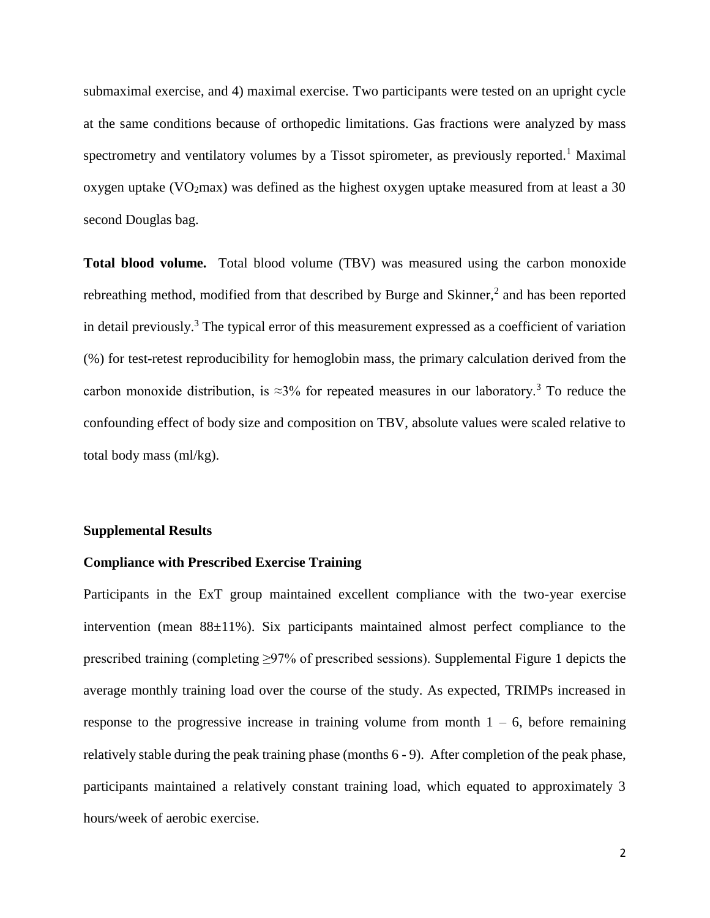submaximal exercise, and 4) maximal exercise. Two participants were tested on an upright cycle at the same conditions because of orthopedic limitations. Gas fractions were analyzed by mass spectrometry and ventilatory volumes by a Tissot spirometer, as previously reported.<sup>1</sup> Maximal oxygen uptake (VO<sub>2</sub>max) was defined as the highest oxygen uptake measured from at least a 30 second Douglas bag.

**Total blood volume.** Total blood volume (TBV) was measured using the carbon monoxide rebreathing method, modified from that described by Burge and Skinner, $<sup>2</sup>$  and has been reported</sup> in detail previously.<sup>3</sup> The typical error of this measurement expressed as a coefficient of variation (%) for test-retest reproducibility for hemoglobin mass, the primary calculation derived from the carbon monoxide distribution, is  $\approx 3\%$  for repeated measures in our laboratory.<sup>3</sup> To reduce the confounding effect of body size and composition on TBV, absolute values were scaled relative to total body mass (ml/kg).

#### **Supplemental Results**

#### **Compliance with Prescribed Exercise Training**

Participants in the ExT group maintained excellent compliance with the two-year exercise intervention (mean  $88\pm11\%$ ). Six participants maintained almost perfect compliance to the prescribed training (completing ≥97% of prescribed sessions). Supplemental Figure 1 depicts the average monthly training load over the course of the study. As expected, TRIMPs increased in response to the progressive increase in training volume from month  $1 - 6$ , before remaining relatively stable during the peak training phase (months 6 - 9). After completion of the peak phase, participants maintained a relatively constant training load, which equated to approximately 3 hours/week of aerobic exercise.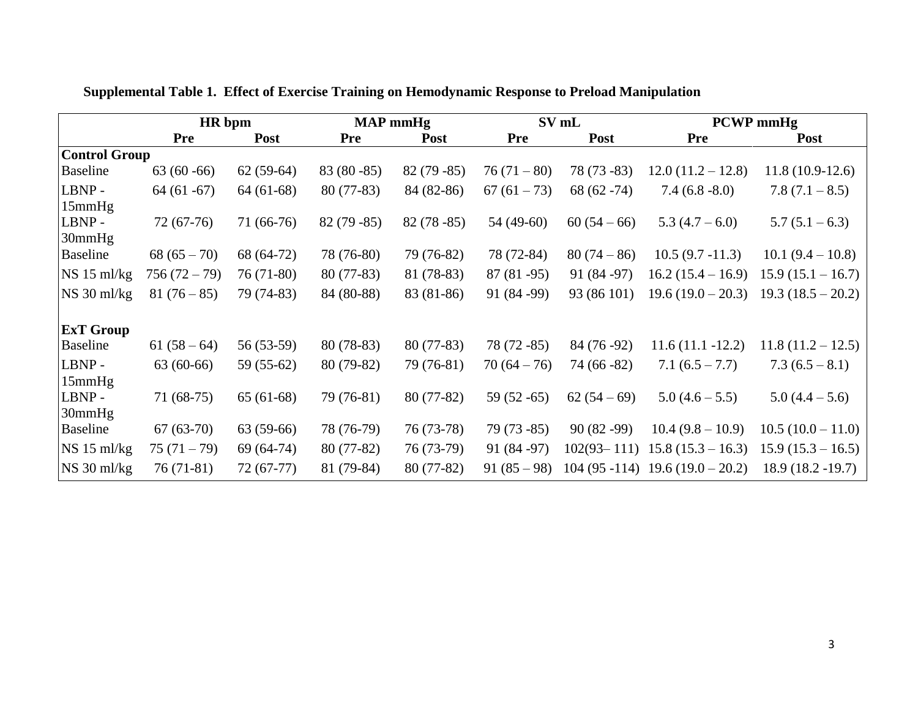|                      | HR bpm       |             | <b>MAP</b> mmHg |             |              | SV mL           | <b>PCWP</b> mmHg                 |                     |
|----------------------|--------------|-------------|-----------------|-------------|--------------|-----------------|----------------------------------|---------------------|
|                      | <b>Pre</b>   | <b>Post</b> | <b>Pre</b>      | <b>Post</b> | <b>Pre</b>   | <b>Post</b>     | <b>Pre</b>                       | <b>Post</b>         |
| <b>Control Group</b> |              |             |                 |             |              |                 |                                  |                     |
| <b>Baseline</b>      | $63(60-66)$  | $62(59-64)$ | $83(80-85)$     | $82(79-85)$ | $76(71-80)$  | $78(73-83)$     | $12.0(11.2 - 12.8)$              | $11.8(10.9-12.6)$   |
| LBNP-                | $64(61-67)$  | $64(61-68)$ | $80(77-83)$     | 84 (82-86)  | $67(61-73)$  | $68(62 - 74)$   | $7.4(6.8-8.0)$                   | $7.8(7.1-8.5)$      |
| 15mmHg               |              |             |                 |             |              |                 |                                  |                     |
| LBNP-                | $72(67-76)$  | $71(66-76)$ | $82(79-85)$     | $82(78-85)$ | 54 (49-60)   | $60(54-66)$     | $5.3(4.7-6.0)$                   | $5.7(5.1-6.3)$      |
| 30mmHg               |              |             |                 |             |              |                 |                                  |                     |
| Baseline             | $68(65-70)$  | 68 (64-72)  | 78 (76-80)      | 79 (76-82)  | 78 (72-84)   | $80(74-86)$     | $10.5(9.7 - 11.3)$               | $10.1 (9.4 - 10.8)$ |
| NS 15 ml/kg          | $756(72-79)$ | 76 (71-80)  | $80(77-83)$     | 81 (78-83)  | $87(81-95)$  | 91 (84 - 97)    | $16.2(15.4 - 16.9)$              | $15.9(15.1 - 16.7)$ |
| $NS 30$ ml/kg        | $81(76-85)$  | 79 (74-83)  | 84 (80-88)      | 83 (81-86)  | 91 (84 - 99) | 93 (86 101)     | $19.6(19.0-20.3)$                | $19.3(18.5-20.2)$   |
| <b>ExT Group</b>     |              |             |                 |             |              |                 |                                  |                     |
| <b>Baseline</b>      | $61(58-64)$  | 56 (53-59)  | $80(78-83)$     | $80(77-83)$ | $78(72-85)$  | 84 (76 - 92)    | $11.6(11.1 - 12.2)$              | $11.8(11.2 - 12.5)$ |
| LBNP-                | $63(60-66)$  | $59(55-62)$ | 80 (79-82)      | 79 (76-81)  | $70(64-76)$  | $74(66-82)$     | $7.1(6.5 - 7.7)$                 | $7.3(6.5-8.1)$      |
| 15mmHg               |              |             |                 |             |              |                 |                                  |                     |
| LBNP-                | $71(68-75)$  | $65(61-68)$ | 79 (76-81)      | $80(77-82)$ | $59(52-65)$  | $62(54-69)$     | $5.0(4.6-5.5)$                   | $5.0(4.4-5.6)$      |
| 30mmHg               |              |             |                 |             |              |                 |                                  |                     |
| Baseline             | $67(63-70)$  | $63(59-66)$ | 78 (76-79)      | 76 (73-78)  | $79(73-85)$  | $90(82-99)$     | $10.4(9.8-10.9)$                 | $10.5(10.0-11.0)$   |
| NS 15 ml/kg          | $75(71-79)$  | $69(64-74)$ | $80(77-82)$     | 76 (73-79)  | 91 (84 - 97) | $102(93 - 111)$ | $15.8(15.3 - 16.3)$              | $15.9(15.3 - 16.5)$ |
| $NS 30$ ml/kg        | $76(71-81)$  | $72(67-77)$ | 81 (79-84)      | $80(77-82)$ | $91(85-98)$  |                 | $104(95-114)$ 19.6 (19.0 - 20.2) | $18.9(18.2 - 19.7)$ |

**Supplemental Table 1. Effect of Exercise Training on Hemodynamic Response to Preload Manipulation**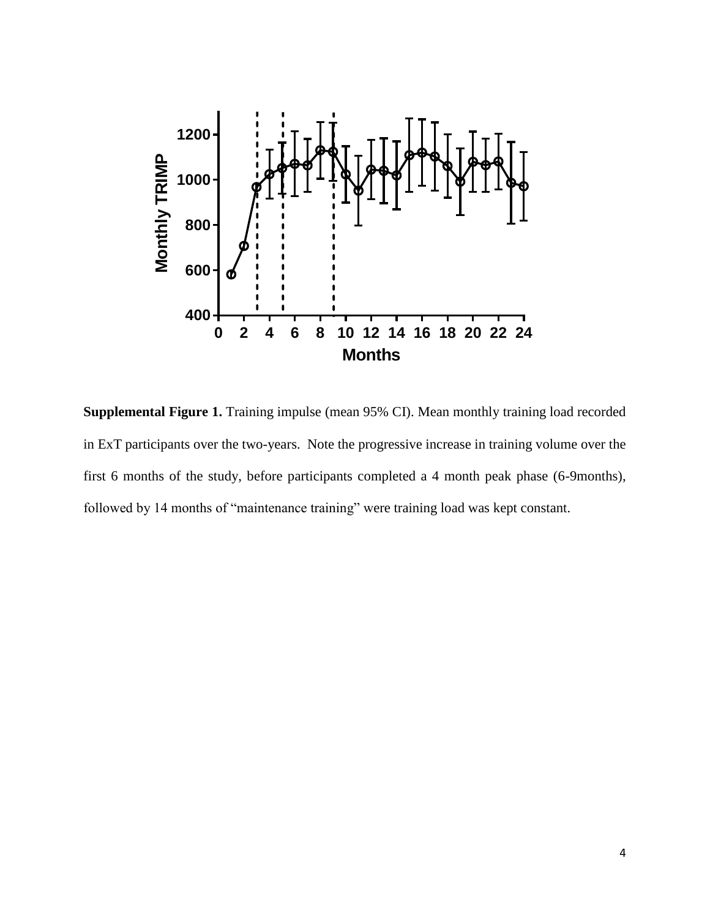

**Supplemental Figure 1.** Training impulse (mean 95% CI). Mean monthly training load recorded in ExT participants over the two-years. Note the progressive increase in training volume over the first 6 months of the study, before participants completed a 4 month peak phase (6-9months), followed by 14 months of "maintenance training" were training load was kept constant.